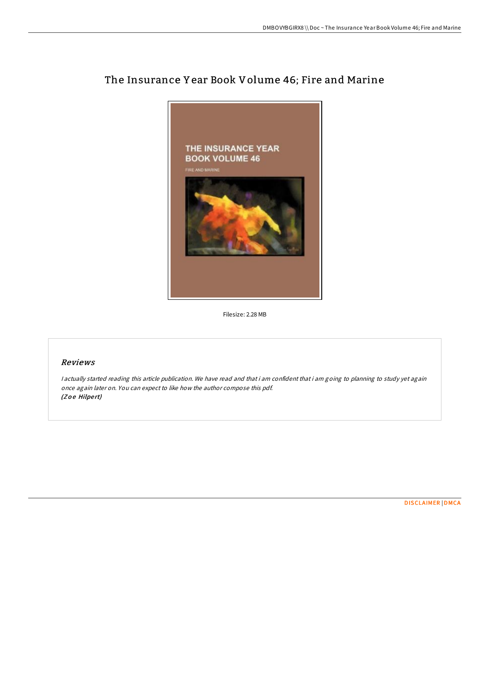

# The Insurance Y ear Book Volume 46; Fire and Marine

Filesize: 2.28 MB

# Reviews

<sup>I</sup> actually started reading this article publication. We have read and that i am confident that i am going to planning to study yet again once again later on. You can expect to like how the author compose this pdf. (Zoe Hilpert)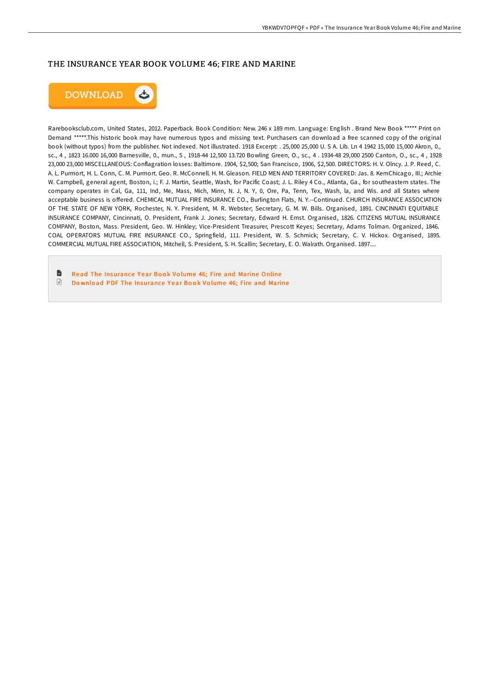### THE INSURANCE YEAR BOOK VOLUME 46; FIRE AND MARINE



Rarebooksclub.com, United States, 2012. Paperback. Book Condition: New. 246 x 189 mm. Language: English . Brand New Book \*\*\*\*\* Print on Demand \*\*\*\*\*.This historic book may have numerous typos and missing text. Purchasers can download a free scanned copy of the original book (without typos) from the publisher. Not indexed. Not illustrated. 1918 Excerpt: . 25,000 25,000 U. S A. Lib. Ln 4 1942 15,000 15,000 Akron, 0., sc., 4 , 1823 16.000 16,000 Barnesville, 0., mun., 5 , 1918-44 12,500 13.720 Bowling Green, O., sc., 4 . 1934-48 29,000 2500 Canton, O., sc., 4 , 1928 23,000 23,000 MISCELLANEOUS: Conflagration losses: Baltimore. 1904, \$2,500; San Francisco, 1906, \$2,500. DIRECTORS: H. V. Olncy. J. P. Reed, C. A. L. Purmort, H. L. Conn, C. M. Purmort. Geo. R. McConnell. H. M. Gleason. FIELD MEN AND TERRITORY COVERED: Jas. 8. KemChicago, III.; Archie W. Campbell, general agent, Boston, i.; F. J. Martin, Seattle, Wash, for Pacific Coast; J. L. Riley 4 Co., Atlanta, Ga., for southeastern states. The company operates in Cal, Ga, 111, Ind, Me, Mass, Mich, Minn, N. J, N. Y, 0, Ore, Pa, Tenn, Tex, Wash, la, and Wis. and all States where acceptable business is offered. CHEMICAL MUTUAL FIRE INSURANCE CO., Burlington Flats, N. Y.--Continued. CHURCH INSURANCE ASSOCIATION OF THE STATE OF NEW YORK, Rochester, N. Y. President, M. R. Webster; Secretary, G. M. W. Bills. Organised, 1891. CINCINNATI EQUITABLE INSURANCE COMPANY, Cincinnati, O. President, Frank J. Jones; Secretary, Edward H. Ernst. Organised, 1826. CITIZENS MUTUAL INSURANCE COMPANY, Boston, Mass. President, Geo. W. Hinkley; Vice-President Treasurer, Prescott Keyes; Secretary, Adams Tolman. Organized, 1846. COAL OPERATORS MUTUAL FIRE INSURANCE CO., Springfield, 111. President, W. S. Schmick; Secretary, C. V. Hickox. Organised, 1895. COMMERCIAL MUTUAL FIRE ASSOCIATION, Mitchell, S. President, S. H. Scallin; Secretary, E. O. Walrath. Organised. 1897....

B Read The [Insurance](http://almighty24.tech/the-insurance-year-book-volume-46-fire-and-marin.html) Year Book Volume 46; Fire and Marine Online  $\textcolor{red}{\textcolor{blue}{\boldsymbol{\mathsf{D}}}}$ Do wnload PDF The [Insurance](http://almighty24.tech/the-insurance-year-book-volume-46-fire-and-marin.html) Year Book Volume 46: Fire and Marine